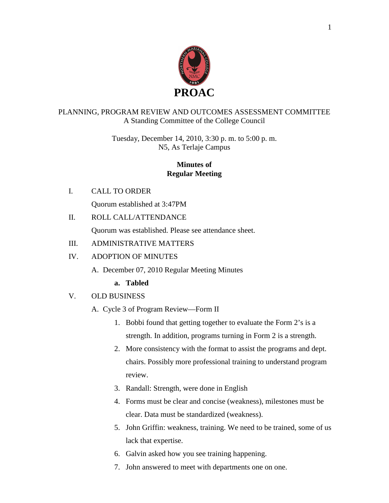

## PLANNING, PROGRAM REVIEW AND OUTCOMES ASSESSMENT COMMITTEE A Standing Committee of the College Council

Tuesday, December 14, 2010, 3:30 p. m. to 5:00 p. m. N5, As Terlaje Campus

## **Minutes of Regular Meeting**

I. CALL TO ORDER

Quorum established at 3:47PM

II. ROLL CALL/ATTENDANCE

Quorum was established. Please see attendance sheet.

## III. ADMINISTRATIVE MATTERS

### IV. ADOPTION OF MINUTES

A. December 07, 2010 Regular Meeting Minutes

## **a. Tabled**

V. OLD BUSINESS

A. Cycle 3 of Program Review—Form II

- 1. Bobbi found that getting together to evaluate the Form 2's is a strength. In addition, programs turning in Form 2 is a strength.
- 2. More consistency with the format to assist the programs and dept. chairs. Possibly more professional training to understand program review.
- 3. Randall: Strength, were done in English
- 4. Forms must be clear and concise (weakness), milestones must be clear. Data must be standardized (weakness).
- 5. John Griffin: weakness, training. We need to be trained, some of us lack that expertise.
- 6. Galvin asked how you see training happening.
- 7. John answered to meet with departments one on one.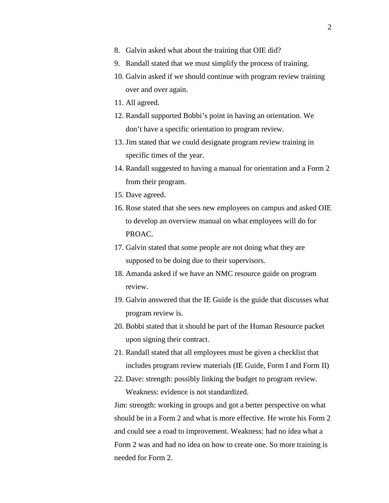- 8. Galvin asked what about the training that OIE did?
- 9. Randall stated that we must simplify the process of training.
- 10. Galvin asked if we should continue with program review training over and over again.
- 11. All agreed.
- 12. Randall supported Bobbi's point in having an orientation. We don't have a specific orientation to program review.
- 13. Jim stated that we could designate program review training in specific times of the year.
- 14. Randall suggested to having a manual for orientation and a Form 2 from their program.
- 15. Dave agreed.
- 16. Rose stated that she sees new employees on campus and asked OIE to develop an overview manual on what employees will do for PROAC.
- 17. Galvin stated that some people are not doing what they are supposed to be doing due to their supervisors.
- 18. Amanda asked if we have an NMC resource guide on program review.
- 19. Galvin answered that the IE Guide is the guide that discusses what program review is.
- 20. Bobbi stated that it should be part of the Human Resource packet upon signing their contract.
- 21. Randall stated that all employees must be given a checklist that includes program review materials (IE Guide, Form I and Form II)
- 22. Dave: strength: possibly linking the budget to program review. Weakness: evidence is not standardized.

Jim: strength: working in groups and got a better perspective on what should be in a Form 2 and what is more effective. He wrote his Form 2 and could see a road to improvement. Weakness: had no idea what a Form 2 was and had no idea on how to create one. So more training is needed for Form 2.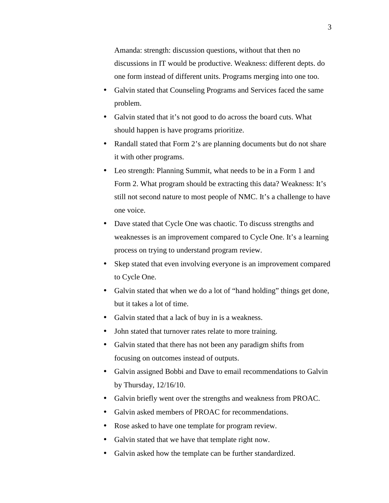Amanda: strength: discussion questions, without that then no discussions in IT would be productive. Weakness: different depts. do one form instead of different units. Programs merging into one too.

- Galvin stated that Counseling Programs and Services faced the same problem.
- Galvin stated that it's not good to do across the board cuts. What should happen is have programs prioritize.
- Randall stated that Form 2's are planning documents but do not share it with other programs.
- Leo strength: Planning Summit, what needs to be in a Form 1 and Form 2. What program should be extracting this data? Weakness: It's still not second nature to most people of NMC. It's a challenge to have one voice.
- Dave stated that Cycle One was chaotic. To discuss strengths and weaknesses is an improvement compared to Cycle One. It's a learning process on trying to understand program review.
- Skep stated that even involving everyone is an improvement compared to Cycle One.
- Galvin stated that when we do a lot of "hand holding" things get done, but it takes a lot of time.
- Galvin stated that a lack of buy in is a weakness.
- John stated that turnover rates relate to more training.
- Galvin stated that there has not been any paradigm shifts from focusing on outcomes instead of outputs.
- Galvin assigned Bobbi and Dave to email recommendations to Galvin by Thursday, 12/16/10.
- Galvin briefly went over the strengths and weakness from PROAC.
- Galvin asked members of PROAC for recommendations.
- Rose asked to have one template for program review.
- Galvin stated that we have that template right now.
- Galvin asked how the template can be further standardized.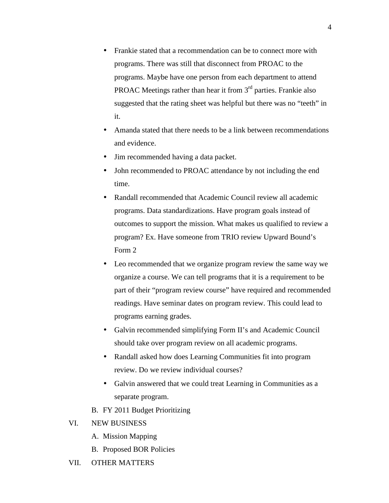- Frankie stated that a recommendation can be to connect more with programs. There was still that disconnect from PROAC to the programs. Maybe have one person from each department to attend **PROAC** Meetings rather than hear it from  $3<sup>rd</sup>$  parties. Frankie also suggested that the rating sheet was helpful but there was no "teeth" in it.
- Amanda stated that there needs to be a link between recommendations and evidence.
- Jim recommended having a data packet.
- John recommended to PROAC attendance by not including the end time.
- Randall recommended that Academic Council review all academic programs. Data standardizations. Have program goals instead of outcomes to support the mission. What makes us qualified to review a program? Ex. Have someone from TRIO review Upward Bound's Form 2
- Leo recommended that we organize program review the same way we organize a course. We can tell programs that it is a requirement to be part of their "program review course" have required and recommended readings. Have seminar dates on program review. This could lead to programs earning grades.
- Galvin recommended simplifying Form II's and Academic Council should take over program review on all academic programs.
- Randall asked how does Learning Communities fit into program review. Do we review individual courses?
- Galvin answered that we could treat Learning in Communities as a separate program.
- B. FY 2011 Budget Prioritizing

#### VI. NEW BUSINESS

- A. Mission Mapping
- B. Proposed BOR Policies
- VII. OTHER MATTERS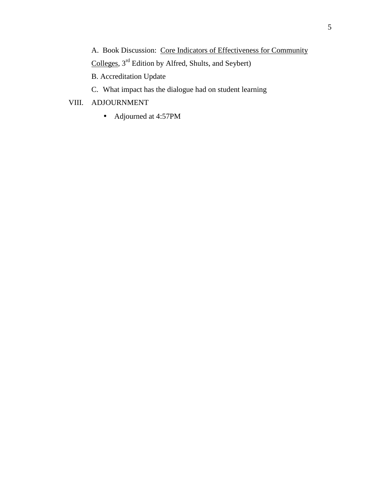A. Book Discussion: Core Indicators of Effectiveness for Community

Colleges, 3rd Edition by Alfred, Shults, and Seybert)

B. Accreditation Update

C. What impact has the dialogue had on student learning

## VIII. ADJOURNMENT

• Adjourned at 4:57PM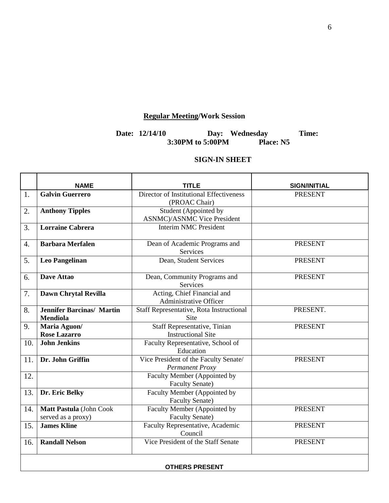# **Regular Meeting/Work Session**

#### **Date: 12/14/10 Day: Wednesday Time: 3:30PM to 5:00PM Place: N5**

#### **SIGN-IN SHEET**

|     | <b>NAME</b>                                         | <b>TITLE</b>                                                     | <b>SIGN/INITIAL</b> |  |  |
|-----|-----------------------------------------------------|------------------------------------------------------------------|---------------------|--|--|
| 1.  | <b>Galvin Guerrero</b>                              | Director of Institutional Effectiveness<br>(PROAC Chair)         | <b>PRESENT</b>      |  |  |
| 2.  | <b>Anthony Tipples</b>                              | Student (Appointed by<br><b>ASNMC</b> )/ASNMC Vice President     |                     |  |  |
| 3.  | <b>Lorraine Cabrera</b>                             | <b>Interim NMC President</b>                                     |                     |  |  |
| 4.  | <b>Barbara Merfalen</b>                             | Dean of Academic Programs and<br>Services                        | <b>PRESENT</b>      |  |  |
| 5.  | <b>Leo Pangelinan</b>                               | Dean, Student Services                                           | <b>PRESENT</b>      |  |  |
| 6.  | <b>Dave Attao</b>                                   | Dean, Community Programs and<br>Services                         | <b>PRESENT</b>      |  |  |
| 7.  | Dawn Chrytal Revilla                                | Acting, Chief Financial and<br><b>Administrative Officer</b>     |                     |  |  |
| 8.  | <b>Jennifer Barcinas/ Martin</b><br><b>Mendiola</b> | Staff Representative, Rota Instructional<br>Site                 | PRESENT.            |  |  |
| 9.  | Maria Aguon/<br><b>Rose Lazarro</b>                 | <b>Staff Representative, Tinian</b><br><b>Instructional Site</b> | <b>PRESENT</b>      |  |  |
| 10. | <b>John Jenkins</b>                                 | Faculty Representative, School of<br>Education                   |                     |  |  |
| 11. | Dr. John Griffin                                    | Vice President of the Faculty Senate/<br>Permanent Proxy         | <b>PRESENT</b>      |  |  |
| 12. |                                                     | Faculty Member (Appointed by<br><b>Faculty Senate)</b>           |                     |  |  |
| 13. | Dr. Eric Belky                                      | Faculty Member (Appointed by<br><b>Faculty Senate)</b>           |                     |  |  |
| 14. | Matt Pastula (John Cook<br>served as a proxy)       | Faculty Member (Appointed by<br><b>Faculty Senate)</b>           | <b>PRESENT</b>      |  |  |
| 15. | <b>James Kline</b>                                  | Faculty Representative, Academic<br>Council                      | <b>PRESENT</b>      |  |  |
| 16. | <b>Randall Nelson</b>                               | Vice President of the Staff Senate                               | <b>PRESENT</b>      |  |  |
|     | <b>OTHERS PRESENT</b>                               |                                                                  |                     |  |  |